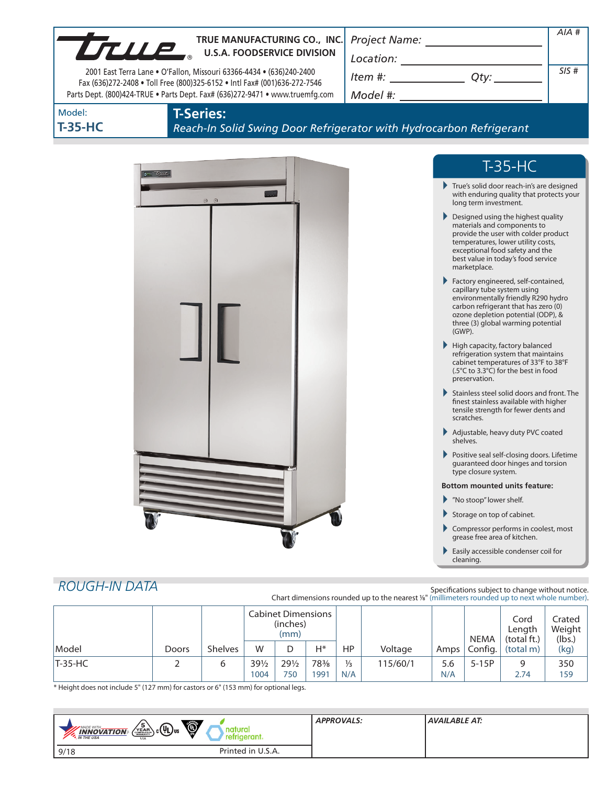| TRUE MANUFACTURING CO., INC<br>2001 East Terra Lane . O'Fallon, Missouri 63366-4434 . (636)240-2400<br>Fax (636)272-2408 . Toll Free (800)325-6152 . Intl Fax# (001)636-272-7546<br>Parts Dept. (800)424-TRUE . Parts Dept. Fax# (636)272-9471 . www.truemfg.com<br><b>T-Series:</b><br>Model:<br><b>T-35-HC</b> | TRUE MANUFACTURING CO., INC.<br>Reach-In Solid Swing Door Refrigerator with Hydrocarbon Refrigerant |                                                                                                                                                                                                                                                                                                                                                                                                                                                                                                                                                                                                                                                                                                                                                                                                                                                                                                                                                                                                                                                                                                                                                                                                                                                                                                                                          | $AIA$ #<br>SIS# |
|------------------------------------------------------------------------------------------------------------------------------------------------------------------------------------------------------------------------------------------------------------------------------------------------------------------|-----------------------------------------------------------------------------------------------------|------------------------------------------------------------------------------------------------------------------------------------------------------------------------------------------------------------------------------------------------------------------------------------------------------------------------------------------------------------------------------------------------------------------------------------------------------------------------------------------------------------------------------------------------------------------------------------------------------------------------------------------------------------------------------------------------------------------------------------------------------------------------------------------------------------------------------------------------------------------------------------------------------------------------------------------------------------------------------------------------------------------------------------------------------------------------------------------------------------------------------------------------------------------------------------------------------------------------------------------------------------------------------------------------------------------------------------------|-----------------|
| $\sigma_{\rm m}$ true<br><b>ROUGH-IN DATA</b>                                                                                                                                                                                                                                                                    | $\odot$ $\odot$                                                                                     | $T-35-HC$<br>True's solid door reach-in's are designed<br>with enduring quality that protects your<br>long term investment.<br>Designed using the highest quality<br>materials and components to<br>provide the user with colder product<br>temperatures, lower utility costs,<br>exceptional food safety and the<br>best value in today's food service<br>marketplace.<br>Factory engineered, self-contained,<br>capillary tube system using<br>environmentally friendly R290 hydro<br>carbon refrigerant that has zero (0)<br>ozone depletion potential (ODP), &<br>three (3) global warming potential<br>(GWP).<br>High capacity, factory balanced<br>refrigeration system that maintains<br>cabinet temperatures of 33°F to 38°F<br>(.5°C to 3.3°C) for the best in food<br>preservation.<br>Stainless steel solid doors and front. The<br>finest stainless available with higher<br>tensile strength for fewer dents and<br>scratches.<br>Adjustable, heavy duty PVC coated<br>shelves.<br>Positive seal self-closing doors. Lifetime<br>guaranteed door hinges and torsion<br>type closure system.<br><b>Bottom mounted units feature:</b><br>▶ "No stoop" lower shelf.<br>Storage on top of cabinet.<br>Compressor performs in coolest, most<br>grease free area of kitchen.<br>Easily accessible condenser coil for<br>cleaning. |                 |
|                                                                                                                                                                                                                                                                                                                  | Cabinot Dimonsions                                                                                  | Specifications subject to change without notice.<br>Chart dimensions rounded up to the nearest %" (millimeters rounded up to next whole number).                                                                                                                                                                                                                                                                                                                                                                                                                                                                                                                                                                                                                                                                                                                                                                                                                                                                                                                                                                                                                                                                                                                                                                                         |                 |

|           |       |                | <b>Cabinet Dimensions</b><br>(inches)<br>(mm) |                 |      |               |          | <b>NEMA</b> | Cord<br>Length<br>(total ft.) | Crated<br>Weight<br>(lbs.) |      |
|-----------|-------|----------------|-----------------------------------------------|-----------------|------|---------------|----------|-------------|-------------------------------|----------------------------|------|
| Model     | Doors | <b>Shelves</b> | W                                             |                 | Н*   | HP            | Voltage  | Amps        | Config.                       | (total m)                  | (kg) |
| $T-35-HC$ |       |                | 391/2                                         | $29\frac{1}{2}$ | 78%  | $\frac{1}{3}$ | 115/60/1 | 5.6         | $5-15P$                       | q                          | 350  |
|           |       |                | 1004                                          | 750             | 1991 | N/A           |          | N/A         |                               | 2.74                       | 159  |

\* Height does not include 5" (127 mm) for castors or 6" (153 mm) for optional legs.

| O<br>$\left(\sqrt{\frac{5}{2}}R_{\text{max}}\right)$ c $(4L)$ us<br>MADE WITH<br><b>INNOVATION</b><br><b>M</b> THE USA<br><b>USA</b> | <b>APPROVALS:</b> | <b>AVAILABLE AT:</b> |
|--------------------------------------------------------------------------------------------------------------------------------------|-------------------|----------------------|
| Printed in U.S.A.<br>9/18                                                                                                            |                   |                      |